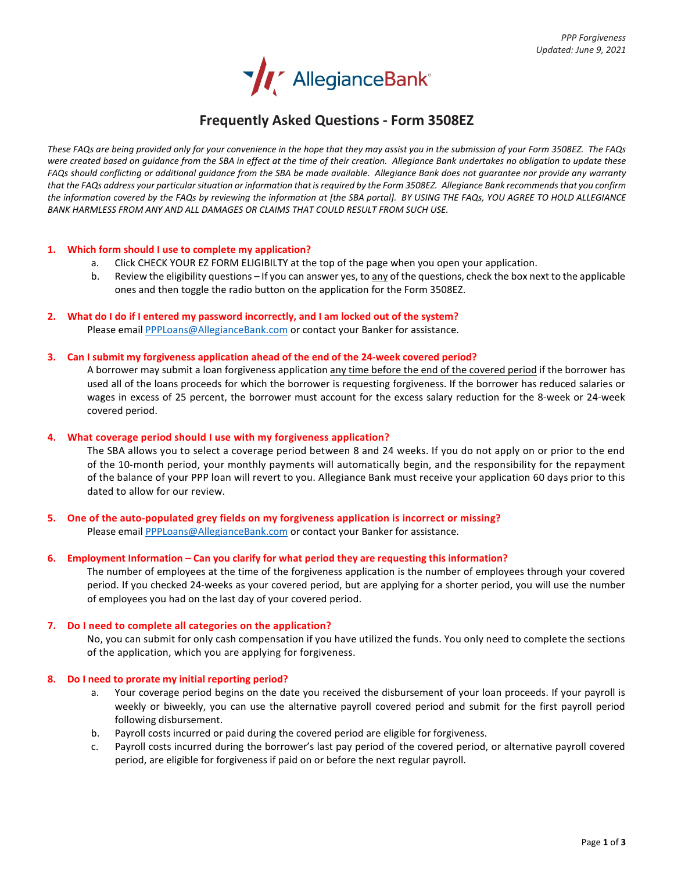

# **Frequently Asked Questions - Form 3508EZ**

*These FAQs are being provided only for your convenience in the hope that they may assist you in the submission of your Form 3508EZ. The FAQs were created based on guidance from the SBA in effect at the time of their creation. Allegiance Bank undertakes no obligation to update these FAQs should conflicting or additional guidance from the SBA be made available. Allegiance Bank does not guarantee nor provide any warranty that the FAQs address your particular situation or information that is required by the Form 3508EZ. Allegiance Bank recommends that you confirm the information covered by the FAQs by reviewing the information at [the SBA portal]. BY USING THE FAQs, YOU AGREE TO HOLD ALLEGIANCE BANK HARMLESS FROM ANY AND ALL DAMAGES OR CLAIMS THAT COULD RESULT FROM SUCH USE.*

## **1. Which form should I use to complete my application?**

- a. Click CHECK YOUR EZ FORM ELIGIBILTY at the top of the page when you open your application.
- b. Review the eligibility questions If you can answer yes, to any of the questions, check the box next to the applicable ones and then toggle the radio button on the application for the Form 3508EZ.
- **2. What do I do if I entered my password incorrectly, and I am locked out of the system?** Please email **PPPLoans@AllegianceBank.com** or contact your Banker for assistance.

#### **3. Can I submit my forgiveness application ahead of the end of the 24-week covered period?**

A borrower may submit a loan forgiveness application any time before the end of the covered period if the borrower has used all of the loans proceeds for which the borrower is requesting forgiveness. If the borrower has reduced salaries or wages in excess of 25 percent, the borrower must account for the excess salary reduction for the 8-week or 24-week covered period.

#### **4. What coverage period should I use with my forgiveness application?**

The SBA allows you to select a coverage period between 8 and 24 weeks. If you do not apply on or prior to the end of the 10-month period, your monthly payments will automatically begin, and the responsibility for the repayment of the balance of your PPP loan will revert to you. Allegiance Bank must receive your application 60 days prior to this dated to allow for our review.

**5. One of the auto-populated grey fields on my forgiveness application is incorrect or missing?** Please email **PPPLoans@AllegianceBank.com** or contact your Banker for assistance.

## **6. Employment Information – Can you clarify for what period they are requesting this information?**

The number of employees at the time of the forgiveness application is the number of employees through your covered period. If you checked 24-weeks as your covered period, but are applying for a shorter period, you will use the number of employees you had on the last day of your covered period.

## **7. Do I need to complete all categories on the application?**

No, you can submit for only cash compensation if you have utilized the funds. You only need to complete the sections of the application, which you are applying for forgiveness.

## **8. Do I need to prorate my initial reporting period?**

- a. Your coverage period begins on the date you received the disbursement of your loan proceeds. If your payroll is weekly or biweekly, you can use the alternative payroll covered period and submit for the first payroll period following disbursement.
- b. Payroll costs incurred or paid during the covered period are eligible for forgiveness.
- c. Payroll costs incurred during the borrower's last pay period of the covered period, or alternative payroll covered period, are eligible for forgiveness if paid on or before the next regular payroll.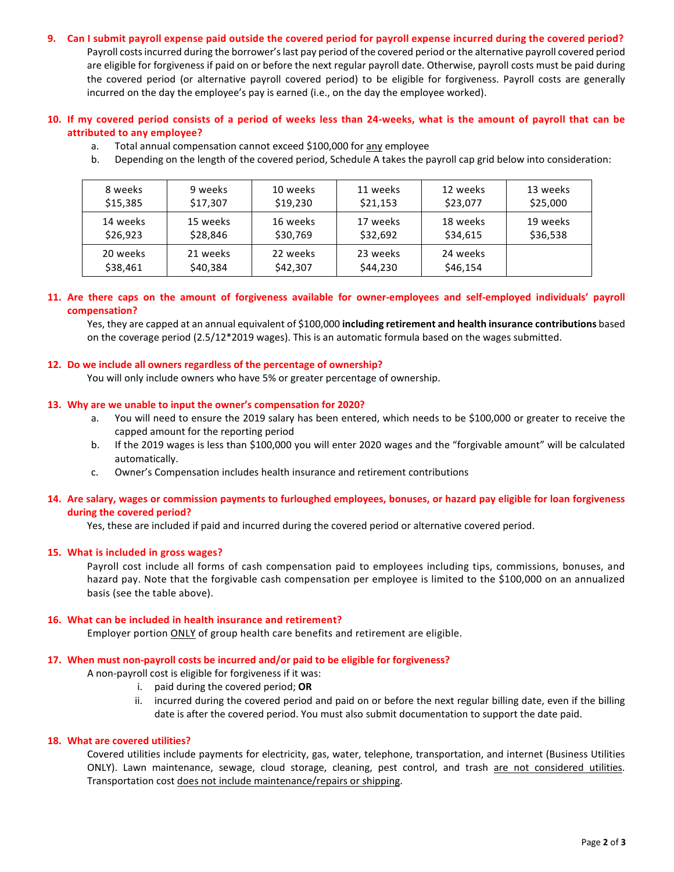# **9. Can I submit payroll expense paid outside the covered period for payroll expense incurred during the covered period?**

Payroll costs incurred during the borrower's last pay period of the covered period or the alternative payroll covered period are eligible for forgiveness if paid on or before the next regular payroll date. Otherwise, payroll costs must be paid during the covered period (or alternative payroll covered period) to be eligible for forgiveness. Payroll costs are generally incurred on the day the employee's pay is earned (i.e., on the day the employee worked).

# **10. If my covered period consists of a period of weeks less than 24-weeks, what is the amount of payroll that can be attributed to any employee?**

- a. Total annual compensation cannot exceed \$100,000 for any employee
- b. Depending on the length of the covered period, Schedule A takes the payroll cap grid below into consideration:

| 8 weeks  | 9 weeks  | 10 weeks | 11 weeks | 12 weeks | 13 weeks |
|----------|----------|----------|----------|----------|----------|
| \$15,385 | \$17,307 | \$19,230 | \$21,153 | \$23,077 | \$25,000 |
| 14 weeks | 15 weeks | 16 weeks | 17 weeks | 18 weeks | 19 weeks |
| \$26,923 | \$28,846 | \$30,769 | \$32,692 | \$34,615 | \$36,538 |
| 20 weeks | 21 weeks | 22 weeks | 23 weeks | 24 weeks |          |
| \$38,461 | \$40,384 | \$42,307 | \$44,230 | \$46,154 |          |

# **11. Are there caps on the amount of forgiveness available for owner-employees and self-employed individuals' payroll compensation?**

Yes, they are capped at an annual equivalent of \$100,000 **including retirement and health insurance contributions** based on the coverage period (2.5/12\*2019 wages). This is an automatic formula based on the wages submitted.

# **12. Do we include all owners regardless of the percentage of ownership?**

You will only include owners who have 5% or greater percentage of ownership.

## **13. Why are we unable to input the owner's compensation for 2020?**

- a. You will need to ensure the 2019 salary has been entered, which needs to be \$100,000 or greater to receive the capped amount for the reporting period
- b. If the 2019 wages is less than \$100,000 you will enter 2020 wages and the "forgivable amount" will be calculated automatically.
- c. Owner's Compensation includes health insurance and retirement contributions

# **14. Are salary, wages or commission payments to furloughed employees, bonuses, or hazard pay eligible for loan forgiveness during the covered period?**

Yes, these are included if paid and incurred during the covered period or alternative covered period.

## **15. What is included in gross wages?**

Payroll cost include all forms of cash compensation paid to employees including tips, commissions, bonuses, and hazard pay. Note that the forgivable cash compensation per employee is limited to the \$100,000 on an annualized basis (see the table above).

## **16. What can be included in health insurance and retirement?**

Employer portion ONLY of group health care benefits and retirement are eligible.

## **17. When must non-payroll costs be incurred and/or paid to be eligible for forgiveness?**

A non-payroll cost is eligible for forgiveness if it was:

- i. paid during the covered period; **OR**
- ii. incurred during the covered period and paid on or before the next regular billing date, even if the billing date is after the covered period. You must also submit documentation to support the date paid.

#### **18. What are covered utilities?**

Covered utilities include payments for electricity, gas, water, telephone, transportation, and internet (Business Utilities ONLY). Lawn maintenance, sewage, cloud storage, cleaning, pest control, and trash are not considered utilities. Transportation cost does not include maintenance/repairs or shipping.